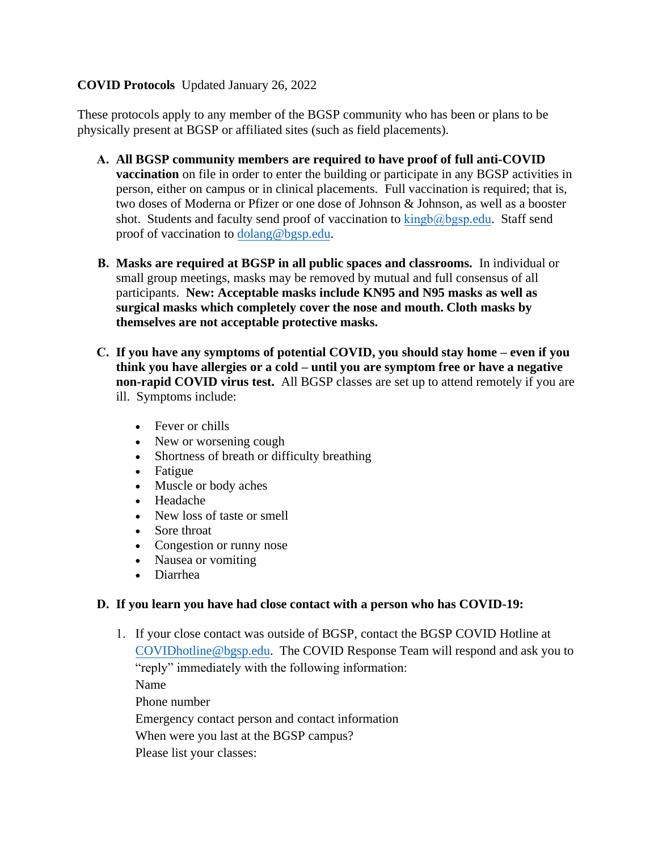# **COVID Protocols** Updated January 26, 2022

These protocols apply to any member of the BGSP community who has been or plans to be physically present at BGSP or affiliated sites (such as field placements).

- **A. All BGSP community members are required to have proof of full anti-COVID vaccination** on file in order to enter the building or participate in any BGSP activities in person, either on campus or in clinical placements. Full vaccination is required; that is, two doses of Moderna or Pfizer or one dose of Johnson & Johnson, as well as a booster shot. Students and faculty send proof of vaccination to  $\frac{\text{kingb}}{\text{a} \cdot \text{b}}$ proof of vaccination to [dolang@bgsp.edu.](mailto:dolang@bgsp.edu)
- **B. Masks are required at BGSP in all public spaces and classrooms.** In individual or small group meetings, masks may be removed by mutual and full consensus of all participants. **New: Acceptable masks include KN95 and N95 masks as well as surgical masks which completely cover the nose and mouth. Cloth masks by themselves are not acceptable protective masks.**
- **C. If you have any symptoms of potential COVID, you should stay home even if you think you have allergies or a cold – until you are symptom free or have a negative non-rapid COVID virus test.** All BGSP classes are set up to attend remotely if you are ill. Symptoms include:
	- Fever or chills
	- New or worsening cough
	- Shortness of breath or difficulty breathing
	- Fatigue
	- Muscle or body aches
	- Headache
	- New loss of taste or smell
	- Sore throat
	- Congestion or runny nose
	- Nausea or vomiting
	- Diarrhea

## **D. If you learn you have had close contact with a person who has COVID-19:**

1. If your close contact was outside of BGSP, contact the BGSP COVID Hotline at [COVIDhotline@bgsp.edu.](mailto:COVIDhotline@bgsp.edu) The COVID Response Team will respond and ask you to "reply" immediately with the following information: Name Phone number

Emergency contact person and contact information

When were you last at the BGSP campus?

Please list your classes: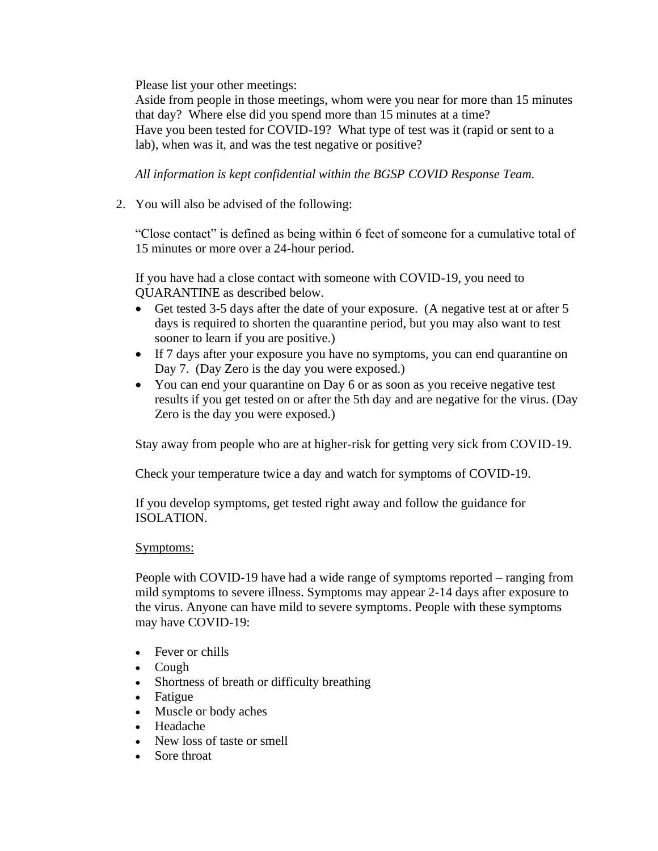Please list your other meetings:

Aside from people in those meetings, whom were you near for more than 15 minutes that day? Where else did you spend more than 15 minutes at a time? Have you been tested for COVID-19? What type of test was it (rapid or sent to a lab), when was it, and was the test negative or positive?

*All information is kept confidential within the BGSP COVID Response Team.*

2. You will also be advised of the following:

"Close contact" is defined as being within 6 feet of someone for a cumulative total of 15 minutes or more over a 24-hour period.

If you have had a close contact with someone with COVID-19, you need to QUARANTINE as described below.

- Get tested 3-5 days after the date of your exposure. (A negative test at or after 5 days is required to shorten the quarantine period, but you may also want to test sooner to learn if you are positive.)
- If 7 days after your exposure you have no symptoms, you can end quarantine on Day 7. (Day Zero is the day you were exposed.)
- You can end your quarantine on Day 6 or as soon as you receive negative test results if you get tested on or after the 5th day and are negative for the virus. (Day Zero is the day you were exposed.)

Stay away from people who are at higher-risk for getting very sick from COVID-19.

Check your temperature twice a day and watch for symptoms of COVID-19.

If you develop symptoms, get tested right away and follow the guidance for ISOLATION.

## Symptoms:

People with COVID-19 have had a wide range of symptoms reported – ranging from mild symptoms to severe illness. Symptoms may appear 2-14 days after exposure to the virus. Anyone can have mild to severe symptoms. People with these symptoms may have COVID-19:

- Fever or chills
- Cough
- Shortness of breath or difficulty breathing
- Fatigue
- Muscle or body aches
- Headache
- New loss of taste or smell
- Sore throat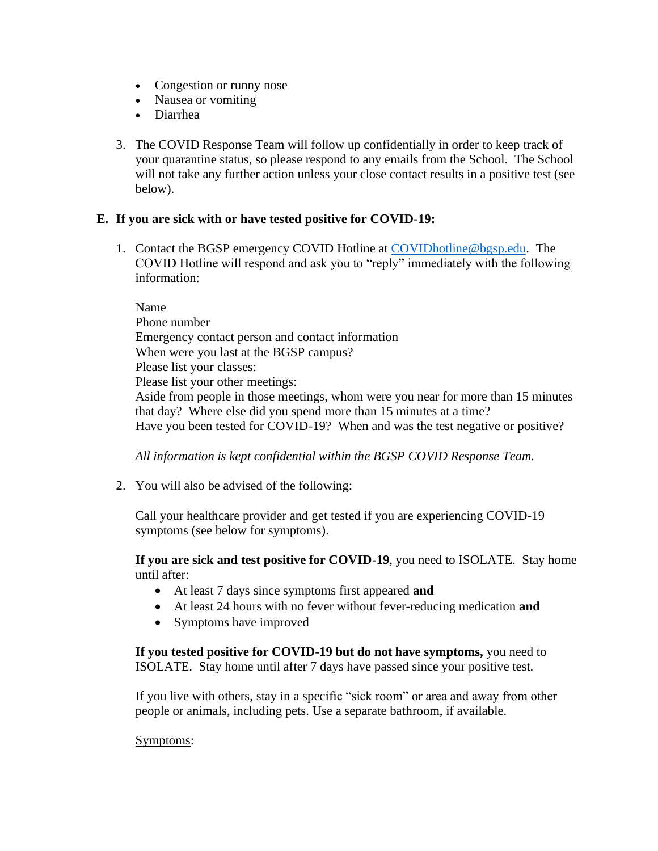- Congestion or runny nose
- Nausea or vomiting
- Diarrhea
- 3. The COVID Response Team will follow up confidentially in order to keep track of your quarantine status, so please respond to any emails from the School. The School will not take any further action unless your close contact results in a positive test (see below).

### **E. If you are sick with or have tested positive for COVID-19:**

1. Contact the BGSP emergency COVID Hotline at [COVIDhotline@bgsp.edu.](mailto:COVIDhotline@bgsp.edu) The COVID Hotline will respond and ask you to "reply" immediately with the following information:

Name Phone number Emergency contact person and contact information When were you last at the BGSP campus? Please list your classes: Please list your other meetings: Aside from people in those meetings, whom were you near for more than 15 minutes that day? Where else did you spend more than 15 minutes at a time? Have you been tested for COVID-19? When and was the test negative or positive?

*All information is kept confidential within the BGSP COVID Response Team.*

2. You will also be advised of the following:

Call your healthcare provider and get tested if you are experiencing COVID-19 symptoms (see below for symptoms).

**If you are sick and test positive for COVID-19**, you need to ISOLATE. Stay home until after:

- At least 7 days since symptoms first appeared **and**
- At least 24 hours with no fever without fever-reducing medication **and**
- Symptoms have improved

**If you tested positive for COVID-19 but do not have symptoms,** you need to ISOLATE.Stay home until after 7 days have passed since your positive test.

If you live with others, stay in a specific "sick room" or area and away from other people or animals, including pets. Use a separate bathroom, if available.

#### Symptoms: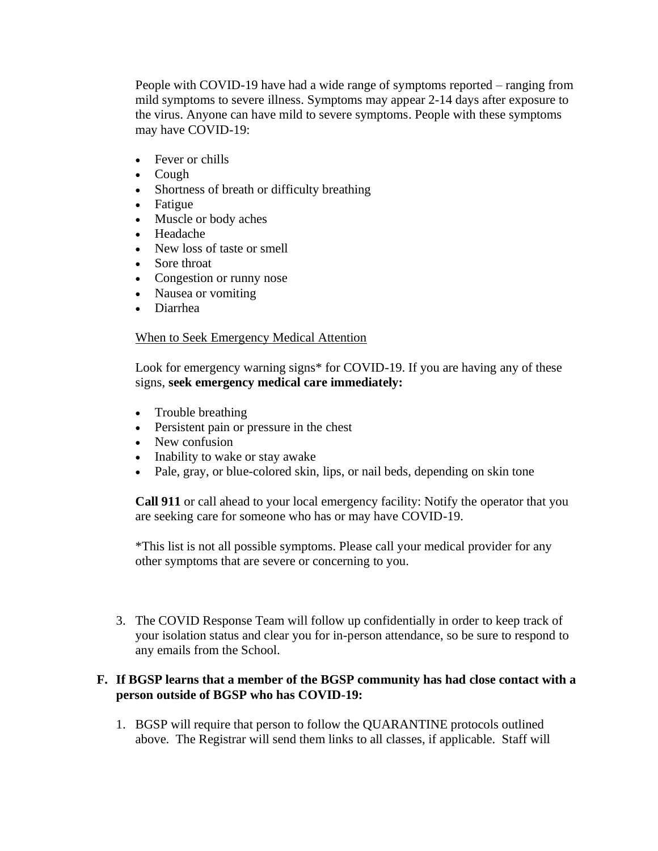People with COVID-19 have had a wide range of symptoms reported – ranging from mild symptoms to severe illness. Symptoms may appear 2-14 days after exposure to the virus. Anyone can have mild to severe symptoms. People with these symptoms may have COVID-19:

- Fever or chills
- Cough
- Shortness of breath or difficulty breathing
- Fatigue
- Muscle or body aches
- Headache
- New loss of taste or smell
- Sore throat
- Congestion or runny nose
- Nausea or vomiting
- Diarrhea

## When to Seek Emergency Medical Attention

Look for emergency warning signs<sup>\*</sup> for COVID-19. If you are having any of these signs, **seek emergency medical care immediately:**

- Trouble breathing
- Persistent pain or pressure in the chest
- New confusion
- Inability to wake or stay awake
- Pale, gray, or blue-colored skin, lips, or nail beds, depending on skin tone

**Call 911** or call ahead to your local emergency facility: Notify the operator that you are seeking care for someone who has or may have COVID-19.

\*This list is not all possible symptoms. Please call your medical provider for any other symptoms that are severe or concerning to you.

3. The COVID Response Team will follow up confidentially in order to keep track of your isolation status and clear you for in-person attendance, so be sure to respond to any emails from the School.

## **F. If BGSP learns that a member of the BGSP community has had close contact with a person outside of BGSP who has COVID-19:**

1. BGSP will require that person to follow the QUARANTINE protocols outlined above. The Registrar will send them links to all classes, if applicable. Staff will